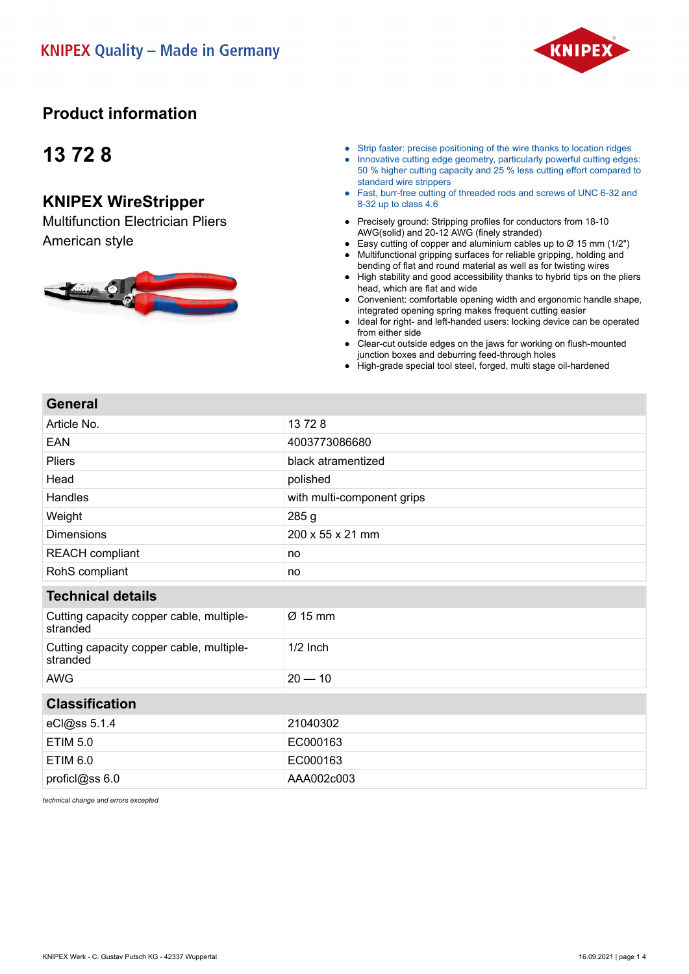

### **Product information**

### **13 72 8**

**General**

#### **KNIPEX WireStripper**

Multifunction Electrician Pliers American style



- Strip faster: precise positioning of the wire thanks to location ridges
- Innovative cutting edge geometry, particularly powerful cutting edges: 50 % higher cutting capacity and 25 % less cutting effort compared to standard wire strippers
- Fast, burr-free cutting of threaded rods and screws of UNC 6-32 and 8-32 up to class 4.6
- Precisely ground: Stripping profiles for conductors from 18-10 AWG(solid) and 20-12 AWG (finely stranded)
- Easy cutting of copper and aluminium cables up to  $Ø$  15 mm (1/2")
- Multifunctional gripping surfaces for reliable gripping, holding and bending of flat and round material as well as for twisting wires
- High stability and good accessibility thanks to hybrid tips on the pliers head, which are flat and wide
- Convenient: comfortable opening width and ergonomic handle shape, integrated opening spring makes frequent cutting easier
- Ideal for right- and left-handed users: locking device can be operated from either side
- Clear-cut outside edges on the jaws for working on flush-mounted junction boxes and deburring feed-through holes
- High-grade special tool steel, forged, multi stage oil-hardened

| <b>971179</b>                                        |                            |
|------------------------------------------------------|----------------------------|
| Article No.                                          | 13728                      |
| EAN                                                  | 4003773086680              |
| <b>Pliers</b>                                        | black atramentized         |
| Head                                                 | polished                   |
| Handles                                              | with multi-component grips |
| Weight                                               | 285 g                      |
| <b>Dimensions</b>                                    | 200 x 55 x 21 mm           |
| <b>REACH</b> compliant                               | no                         |
| RohS compliant                                       | no                         |
| <b>Technical details</b>                             |                            |
| Cutting capacity copper cable, multiple-<br>stranded | $Ø$ 15 mm                  |
| Cutting capacity copper cable, multiple-<br>stranded | $1/2$ Inch                 |
| <b>AWG</b>                                           | $20 - 10$                  |
| <b>Classification</b>                                |                            |
| eCl@ss 5.1.4                                         | 21040302                   |
| <b>ETIM 5.0</b>                                      | EC000163                   |
| <b>ETIM 6.0</b>                                      | EC000163                   |
| proficl@ss 6.0                                       | AAA002c003                 |
|                                                      |                            |

*technical change and errors excepted*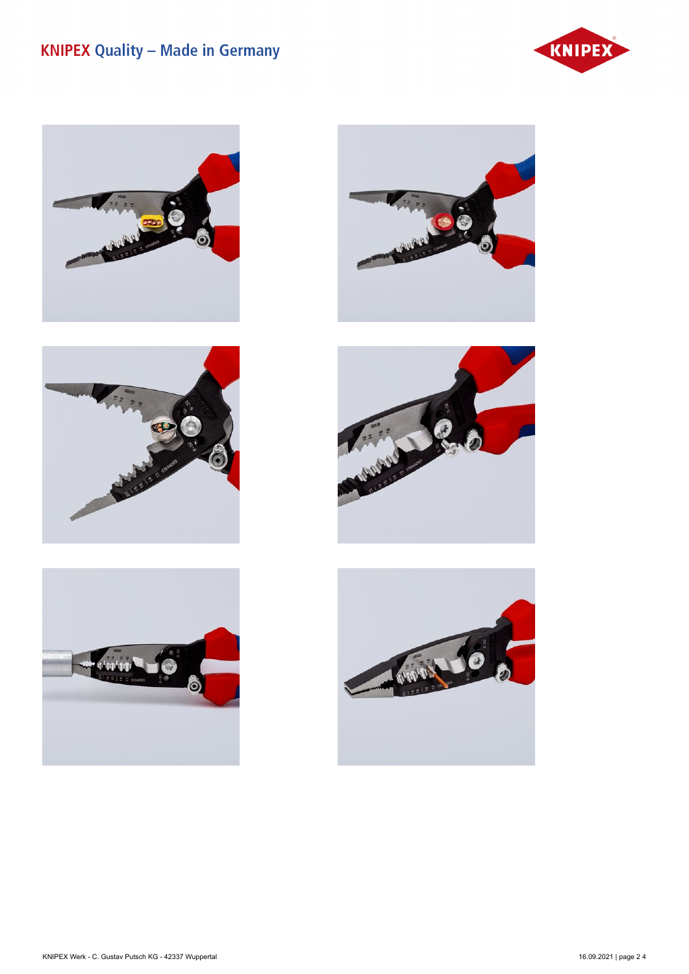











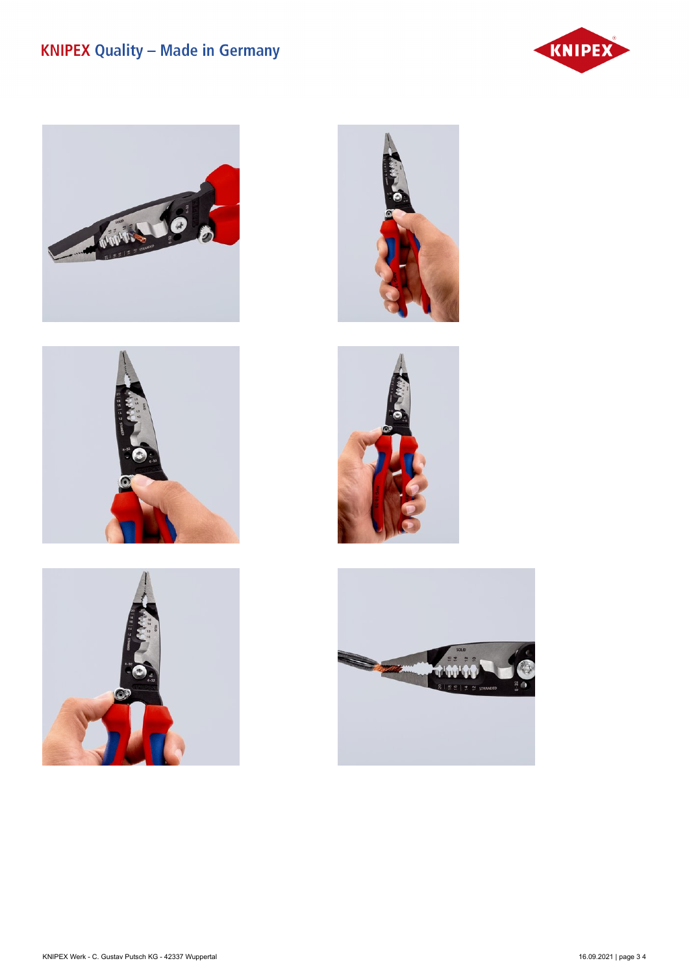# **KNIPEX Quality - Made in Germany**